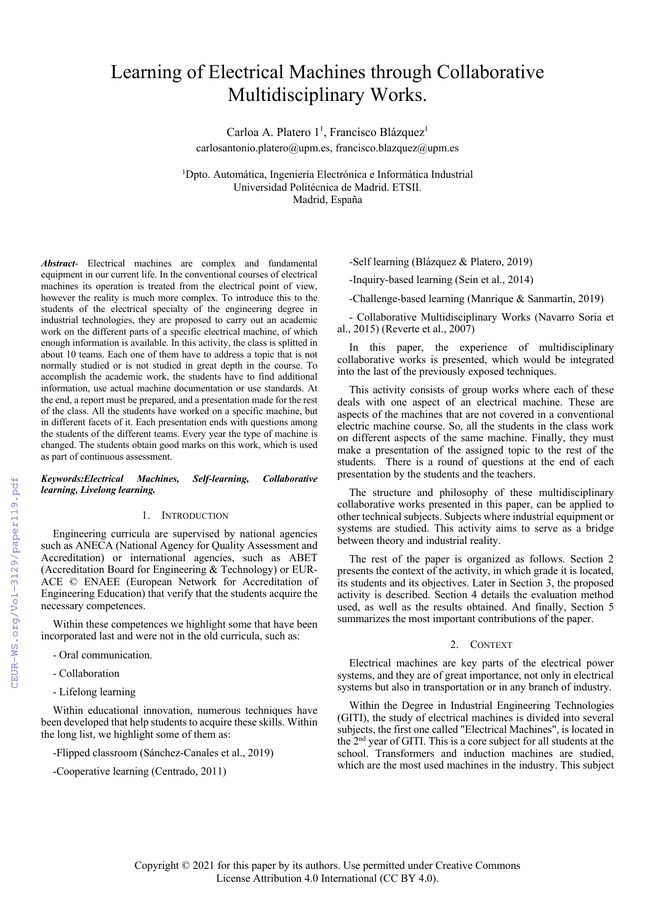# Learning of Electrical Machines through Collaborative Multidisciplinary Works.

Carloa A. Platero 1<sup>1</sup>, Francisco Blázquez<sup>1</sup> carlosantonio.platero@upm.es, francisco.blazquez@upm.es

1 Dpto. Automática, Ingeniería Electrónica e Informática Industrial Universidad Politécnica de Madrid. ETSII. Madrid, España

*Abstract*- Electrical machines are complex and fundamental equipment in our current life. In the conventional courses of electrical machines its operation is treated from the electrical point of view, however the reality is much more complex. To introduce this to the students of the electrical specialty of the engineering degree in industrial technologies, they are proposed to carry out an academic work on the different parts of a specific electrical machine, of which enough information is available. In this activity, the class is splitted in about 10 teams. Each one of them have to address a topic that is not normally studied or is not studied in great depth in the course. To accomplish the academic work, the students have to find additional information, use actual machine documentation or use standards. At the end, a report must be prepared, and a presentation made for the rest of the class. All the students have worked on a specific machine, but in different facets of it. Each presentation ends with questions among the students of the different teams. Every year the type of machine is changed. The students obtain good marks on this work, which is used as part of continuous assessment.

## *Keywords:Electrical Machines, Self-learning, Collaborative learning, Livelong learning.*

# 1. INTRODUCTION

Engineering curricula are supervised by national agencies such as ANECA (National Agency for Quality Assessment and Accreditation) or international agencies, such as ABET (Accreditation Board for Engineering & Technology) or EUR-ACE © ENAEE (European Network for Accreditation of Engineering Education) that verify that the students acquire the necessary competences.

Within these competences we highlight some that have been incorporated last and were not in the old curricula, such as:

- Oral communication.
- Collaboration
- Lifelong learning

Within educational innovation, numerous techniques have been developed that help students to acquire these skills. Within the long list, we highlight some of them as:

- -Flipped classroom (Sánchez-Canales et al., 2019)
- -Cooperative learning (Centrado, 2011)

-Self learning (Blázquez & Platero, 2019)

-Inquiry-based learning (Sein et al., 2014)

-Challenge-based learning (Manrique & Sanmartín, 2019)

- Collaborative Multidisciplinary Works (Navarro Soria et al., 2015) (Reverte et al., 2007)

In this paper, the experience of multidisciplinary collaborative works is presented, which would be integrated into the last of the previously exposed techniques.

This activity consists of group works where each of these deals with one aspect of an electrical machine. These are aspects of the machines that are not covered in a conventional electric machine course. So, all the students in the class work on different aspects of the same machine. Finally, they must make a presentation of the assigned topic to the rest of the students. There is a round of questions at the end of each presentation by the students and the teachers.

The structure and philosophy of these multidisciplinary collaborative works presented in this paper, can be applied to other technical subjects. Subjects where industrial equipment or systems are studied. This activity aims to serve as a bridge between theory and industrial reality.

The rest of the paper is organized as follows. Section 2 presents the context of the activity, in which grade it is located, its students and its objectives. Later in Section 3, the proposed activity is described. Section 4 details the evaluation method used, as well as the results obtained. And finally, Section 5 summarizes the most important contributions of the paper.

# 2. CONTEXT

Electrical machines are key parts of the electrical power systems, and they are of great importance, not only in electrical systems but also in transportation or in any branch of industry.

Within the Degree in Industrial Engineering Technologies (GITI), the study of electrical machines is divided into several subjects, the first one called "Electrical Machines", is located in the 2nd year of GITI. This is a core subject for all students at the school. Transformers and induction machines are studied, which are the most used machines in the industry. This subject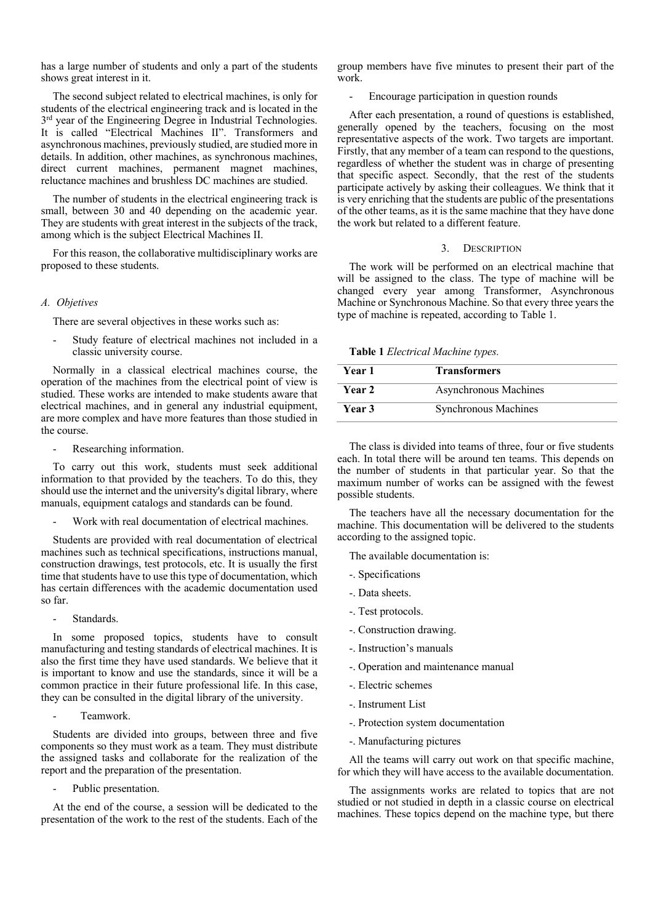has a large number of students and only a part of the students shows great interest in it.

The second subject related to electrical machines, is only for students of the electrical engineering track and is located in the 3<sup>rd</sup> year of the Engineering Degree in Industrial Technologies. It is called "Electrical Machines II". Transformers and asynchronous machines, previously studied, are studied more in details. In addition, other machines, as synchronous machines, direct current machines, permanent magnet machines, reluctance machines and brushless DC machines are studied.

The number of students in the electrical engineering track is small, between 30 and 40 depending on the academic year. They are students with great interest in the subjects of the track, among which is the subject Electrical Machines II.

For this reason, the collaborative multidisciplinary works are proposed to these students.

## *A. Objetives*

There are several objectives in these works such as:

Study feature of electrical machines not included in a classic university course.

Normally in a classical electrical machines course, the operation of the machines from the electrical point of view is studied. These works are intended to make students aware that electrical machines, and in general any industrial equipment, are more complex and have more features than those studied in the course.

- Researching information.

To carry out this work, students must seek additional information to that provided by the teachers. To do this, they should use the internet and the university's digital library, where manuals, equipment catalogs and standards can be found.

Work with real documentation of electrical machines.

Students are provided with real documentation of electrical machines such as technical specifications, instructions manual, construction drawings, test protocols, etc. It is usually the first time that students have to use this type of documentation, which has certain differences with the academic documentation used so far.

Standards.

In some proposed topics, students have to consult manufacturing and testing standards of electrical machines. It is also the first time they have used standards. We believe that it is important to know and use the standards, since it will be a common practice in their future professional life. In this case, they can be consulted in the digital library of the university.

Teamwork.

Students are divided into groups, between three and five components so they must work as a team. They must distribute the assigned tasks and collaborate for the realization of the report and the preparation of the presentation.

Public presentation.

At the end of the course, a session will be dedicated to the presentation of the work to the rest of the students. Each of the group members have five minutes to present their part of the work.

- Encourage participation in question rounds

After each presentation, a round of questions is established, generally opened by the teachers, focusing on the most representative aspects of the work. Two targets are important. Firstly, that any member of a team can respond to the questions, regardless of whether the student was in charge of presenting that specific aspect. Secondly, that the rest of the students participate actively by asking their colleagues. We think that it is very enriching that the students are public of the presentations of the other teams, as it is the same machine that they have done the work but related to a different feature.

#### 3. DESCRIPTION

The work will be performed on an electrical machine that will be assigned to the class. The type of machine will be changed every year among Transformer, Asynchronous Machine or Synchronous Machine. So that every three years the type of machine is repeated, according to Table 1.

**Table 1** *Electrical Machine types.*

| Year 1 | <b>Transformers</b>   |  |
|--------|-----------------------|--|
| Year 2 | Asynchronous Machines |  |
| Year 3 | Synchronous Machines  |  |

The class is divided into teams of three, four or five students each. In total there will be around ten teams. This depends on the number of students in that particular year. So that the maximum number of works can be assigned with the fewest possible students.

The teachers have all the necessary documentation for the machine. This documentation will be delivered to the students according to the assigned topic.

The available documentation is:

- -. Specifications
- -. Data sheets.
- -. Test protocols.
- -. Construction drawing.
- -. Instruction's manuals
- -. Operation and maintenance manual
- -. Electric schemes
- -. Instrument List
- -. Protection system documentation
- -. Manufacturing pictures

All the teams will carry out work on that specific machine, for which they will have access to the available documentation.

The assignments works are related to topics that are not studied or not studied in depth in a classic course on electrical machines. These topics depend on the machine type, but there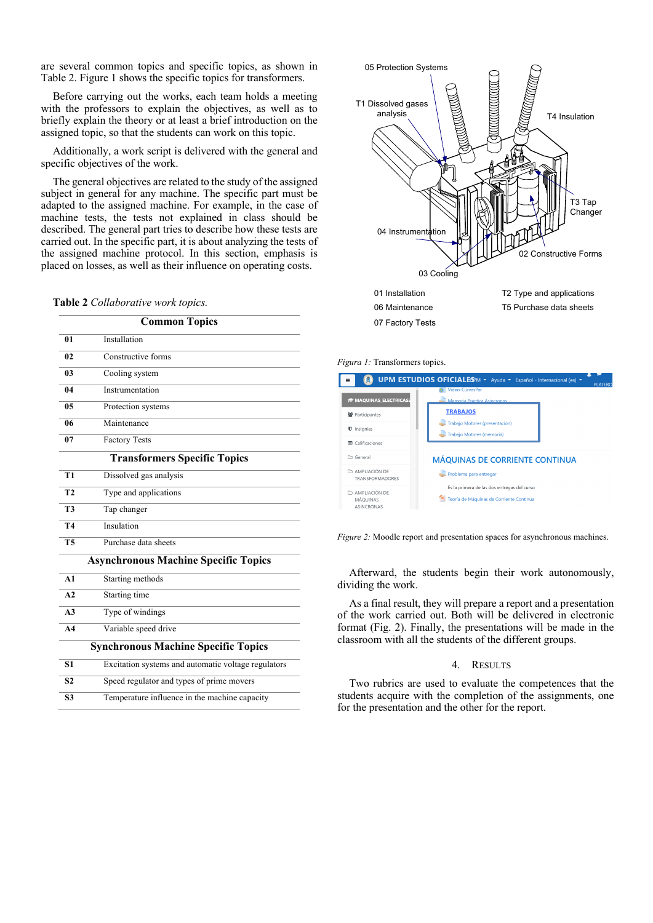are several common topics and specific topics, as shown in Table 2. Figure 1 shows the specific topics for transformers.

Before carrying out the works, each team holds a meeting with the professors to explain the objectives, as well as to briefly explain the theory or at least a brief introduction on the assigned topic, so that the students can work on this topic.

Additionally, a work script is delivered with the general and specific objectives of the work.

The general objectives are related to the study of the assigned subject in general for any machine. The specific part must be adapted to the assigned machine. For example, in the case of machine tests, the tests not explained in class should be described. The general part tries to describe how these tests are carried out. In the specific part, it is about analyzing the tests of the assigned machine protocol. In this section, emphasis is placed on losses, as well as their influence on operating costs.

#### **Table 2** *Collaborative work topics.*

| <b>Common Topics</b>                       |                                                     |  |  |  |
|--------------------------------------------|-----------------------------------------------------|--|--|--|
| 01                                         | Installation                                        |  |  |  |
| 0 <sub>2</sub>                             | Constructive forms                                  |  |  |  |
| 03                                         | Cooling system                                      |  |  |  |
| 04                                         | Instrumentation                                     |  |  |  |
| 0 <sub>5</sub>                             | Protection systems                                  |  |  |  |
| 06                                         | Maintenance                                         |  |  |  |
| 07                                         | <b>Factory Tests</b>                                |  |  |  |
| <b>Transformers Specific Topics</b>        |                                                     |  |  |  |
| T1                                         | Dissolved gas analysis                              |  |  |  |
| T <sub>2</sub>                             | Type and applications                               |  |  |  |
| T <sub>3</sub>                             | Tap changer                                         |  |  |  |
| <b>T4</b>                                  | Insulation                                          |  |  |  |
| <b>T5</b>                                  | Purchase data sheets                                |  |  |  |
|                                            | <b>Asynchronous Machine Specific Topics</b>         |  |  |  |
| A1                                         | Starting methods                                    |  |  |  |
| A2                                         | Starting time                                       |  |  |  |
| A <sub>3</sub>                             | Type of windings                                    |  |  |  |
| A <sub>4</sub>                             | Variable speed drive                                |  |  |  |
| <b>Synchronous Machine Specific Topics</b> |                                                     |  |  |  |
| S <sub>1</sub>                             | Excitation systems and automatic voltage regulators |  |  |  |
| S <sub>2</sub>                             | Speed regulator and types of prime movers           |  |  |  |
| S <sub>3</sub>                             | Temperature influence in the machine capacity       |  |  |  |
|                                            |                                                     |  |  |  |



*Figura 1:* Transformers topics.

| $\equiv$                                   | UPM ESTUDIOS OFICIALES M v Ayuda v Español - Internacional (es) v<br><b>PLATERO</b>     |
|--------------------------------------------|-----------------------------------------------------------------------------------------|
|                                            | Video-CurvasPar                                                                         |
| <b>SMAQUINAS_ELECTRICAS2</b>               | Memoria Práctica Asincronas                                                             |
| ₩ Participantes                            | <b>TRABAJOS</b>                                                                         |
| <b>U</b> Insignias                         | Trabajo Motores (presentación)<br>Trabajo Motores (memoria)                             |
| Calificaciones<br>冊                        |                                                                                         |
| General<br>m                               | <b>MÁQUINAS DE CORRIENTE CONTINUA</b>                                                   |
| <b>C1 AMPLIACIÓN DE</b><br>TRANSFORMADORES | Problema para entregar                                                                  |
| C AMPLIACIÓN DE<br>MÁOUINAS<br>ASINCRONAS  | Es la primera de las dos entregas del curso<br>Teoría de Máquinas de Corriente Continua |

*Figure 2:* Moodle report and presentation spaces for asynchronous machines.

Afterward, the students begin their work autonomously, dividing the work.

As a final result, they will prepare a report and a presentation of the work carried out. Both will be delivered in electronic format (Fig. 2). Finally, the presentations will be made in the classroom with all the students of the different groups.

## 4. RESULTS

Two rubrics are used to evaluate the competences that the students acquire with the completion of the assignments, one for the presentation and the other for the report.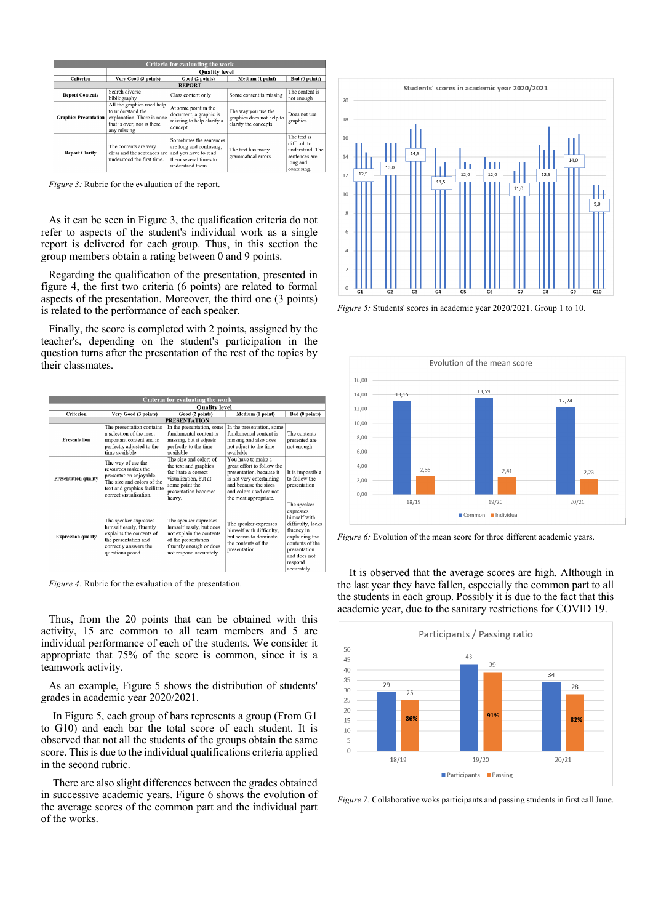| <b>Criteria for evaluating the work</b> |                                                                                                                            |                                                                                                                         |                                                                           |                                                                                           |  |  |  |  |
|-----------------------------------------|----------------------------------------------------------------------------------------------------------------------------|-------------------------------------------------------------------------------------------------------------------------|---------------------------------------------------------------------------|-------------------------------------------------------------------------------------------|--|--|--|--|
|                                         | <b>Quality level</b>                                                                                                       |                                                                                                                         |                                                                           |                                                                                           |  |  |  |  |
| <b>Criterion</b>                        | Very Good (3 points)                                                                                                       | Good (2 points)                                                                                                         | Medium (1 point)                                                          | Bad (0 points)                                                                            |  |  |  |  |
| <b>REPORT</b>                           |                                                                                                                            |                                                                                                                         |                                                                           |                                                                                           |  |  |  |  |
| <b>Report Contents</b>                  | Search diverse<br>bibliography                                                                                             | Class content only                                                                                                      | Some content is missing                                                   | The content is<br>not enough                                                              |  |  |  |  |
| <b>Graphics Presentation</b>            | All the graphics used help<br>to understand the<br>explanation. There is none<br>that is over, nor is there<br>any missing | At some point in the<br>document, a graphic is<br>missing to help clarify a<br>concept                                  | The way you use the<br>graphics does not help to<br>clarify the concepts. | Does not use<br>graphics                                                                  |  |  |  |  |
| <b>Report Clarity</b>                   | The contents are very<br>clear and the sentences are<br>understood the first time.                                         | Sometimes the sentences<br>are long and confusing,<br>and you have to read<br>them several times to<br>understand them. | The text has many<br>grammatical errors                                   | The text is<br>difficult to<br>understand. The<br>sentences are<br>long and<br>confusing. |  |  |  |  |

*Figure 3:* Rubric for the evaluation of the report.

As it can be seen in Figure 3, the qualification criteria do not refer to aspects of the student's individual work as a single report is delivered for each group. Thus, in this section the group members obtain a rating between 0 and 9 points.

Regarding the qualification of the presentation, presented in figure 4, the first two criteria (6 points) are related to formal aspects of the presentation. Moreover, the third one (3 points) is related to the performance of each speaker.

Finally, the score is completed with 2 points, assigned by the teacher's, depending on the student's participation in the question turns after the presentation of the rest of the topics by their classmates.

|                     | <b>Criteria for evaluating the work</b> |                                                                                                                                                              |                                                                                                                                                           |                                                                                                                                                                                        |                                                                                                                                                                           |  |  |  |
|---------------------|-----------------------------------------|--------------------------------------------------------------------------------------------------------------------------------------------------------------|-----------------------------------------------------------------------------------------------------------------------------------------------------------|----------------------------------------------------------------------------------------------------------------------------------------------------------------------------------------|---------------------------------------------------------------------------------------------------------------------------------------------------------------------------|--|--|--|
|                     |                                         | <b>Quality level</b>                                                                                                                                         |                                                                                                                                                           |                                                                                                                                                                                        |                                                                                                                                                                           |  |  |  |
|                     | <b>Criterion</b>                        | Very Good (3 points)                                                                                                                                         | Good (2 points)                                                                                                                                           | Medium (1 point)                                                                                                                                                                       | Bad (0 points)                                                                                                                                                            |  |  |  |
| <b>PRESENTATION</b> |                                         |                                                                                                                                                              |                                                                                                                                                           |                                                                                                                                                                                        |                                                                                                                                                                           |  |  |  |
|                     | Presentation                            | The presentation contains<br>a selection of the most<br>important content and is<br>perfectly adjusted to the<br>time available                              | In the presentation, some<br>fundamental content is<br>missing, but it adjusts<br>perfectly to the time<br>available                                      | In the presentation, some<br>fundamental content is<br>missing and also does<br>not adjust to the time<br>available                                                                    | The contents<br>presented are<br>not enough                                                                                                                               |  |  |  |
|                     | <b>Presentation quality</b>             | The way of use the<br>resources makes the<br>presentation enjoyable.<br>The size and colors of the<br>text and graphics facilitate<br>correct visualization. | The size and colors of<br>the text and graphics<br>facilitate a correct<br>visualization, but at<br>some point the<br>presentation becomes<br>heavy.      | You have to make a<br>great effort to follow the<br>presentation, because it<br>is not very entertaining<br>and because the sizes.<br>and colors used are not<br>the most appropriate. | It is impossible<br>to follow the<br>presentation                                                                                                                         |  |  |  |
|                     | <b>Expression quality</b>               | The speaker expresses<br>himself easily, fluently<br>explains the contents of<br>the presentation and<br>correctly answers the<br>questions posed            | The speaker expresses<br>himself easily, but does<br>not explain the contents<br>of the presentation<br>fluently enough or does<br>not respond accurately | The speaker expresses<br>himself with difficulty,<br>but seems to dominate<br>the contents of the<br>presentation                                                                      | The speaker<br>expresses<br>himself with<br>difficulty, lacks<br>fluency in<br>explaining the<br>contents of the<br>presentation<br>and does not<br>respond<br>accurately |  |  |  |

*Figure 4:* Rubric for the evaluation of the presentation.

Thus, from the 20 points that can be obtained with this activity, 15 are common to all team members and 5 are individual performance of each of the students. We consider it appropriate that 75% of the score is common, since it is a teamwork activity.

As an example, Figure 5 shows the distribution of students' grades in academic year 2020/2021.

In Figure 5, each group of bars represents a group (From G1 to G10) and each bar the total score of each student. It is observed that not all the students of the groups obtain the same score. This is due to the individual qualifications criteria applied in the second rubric.

There are also slight differences between the grades obtained in successive academic years. Figure 6 shows the evolution of the average scores of the common part and the individual part of the works.



*Figure 5:* Students' scores in academic year 2020/2021. Group 1 to 10.



*Figure* 6: Evolution of the mean score for three different academic years.

It is observed that the average scores are high. Although in the last year they have fallen, especially the common part to all the students in each group. Possibly it is due to the fact that this academic year, due to the sanitary restrictions for COVID 19.



*Figure* 7: Collaborative woks participants and passing students in first call June.